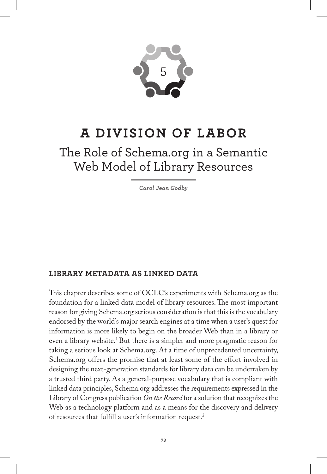

# **A DIVISION OF LABOR**

# The Role of Schema.org in a Semantic Web Model of Library Resources

*Carol Jean Godby*

# **LIBRARY METADATA AS LINKED DATA**

This chapter describes some of OCLC's experiments with Schema.org as the foundation for a linked data model of library resources. The most important reason for giving Schema.org serious consideration is that this is the vocabulary endorsed by the world's major search engines at a time when a user's quest for information is more likely to begin on the broader Web than in a library or even a library website.<sup>1</sup> But there is a simpler and more pragmatic reason for taking a serious look at Schema.org. At a time of unprecedented uncertainty, Schema.org offers the promise that at least some of the effort involved in designing the next-generation standards for library data can be undertaken by a trusted third party. As a general-purpose vocabulary that is compliant with linked data principles, Schema.org addresses the requirements expressed in the Library of Congress publication *On the Record* for a solution that recognizes the Web as a technology platform and as a means for the discovery and delivery of resources that fulfill a user's information request.2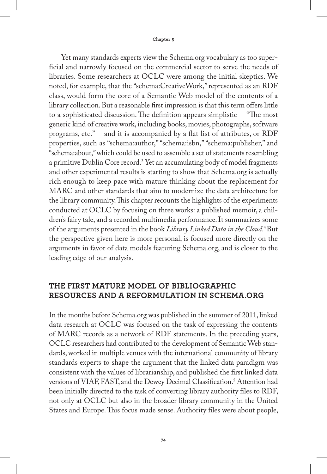Yet many standards experts view the Schema.org vocabulary as too superficial and narrowly focused on the commercial sector to serve the needs of libraries. Some researchers at OCLC were among the initial skeptics. We noted, for example, that the "schema:CreativeWork," represented as an RDF class, would form the core of a Semantic Web model of the contents of a library collection. But a reasonable first impression is that this term offers little to a sophisticated discussion. The definition appears simplistic— "The most generic kind of creative work, including books, movies, photographs, software programs, etc." —and it is accompanied by a flat list of attributes, or RDF properties, such as "schema:author," "schema:isbn," "schema:publisher," and "schema:about," which could be used to assemble a set of statements resembling a primitive Dublin Core record.<sup>3</sup> Yet an accumulating body of model fragments and other experimental results is starting to show that Schema.org is actually rich enough to keep pace with mature thinking about the replacement for MARC and other standards that aim to modernize the data architecture for the library community. This chapter recounts the highlights of the experiments conducted at OCLC by focusing on three works: a published memoir, a children's fairy tale, and a recorded multimedia performance. It summarizes some of the arguments presented in the book *Library Linked Data in the Cloud.*4 But the perspective given here is more personal, is focused more directly on the arguments in favor of data models featuring Schema.org, and is closer to the leading edge of our analysis.

# **THE FIRST MATURE MODEL OF BIBLIOGRAPHIC RESOURCES AND A REFORMULATION IN SCHEMA.ORG**

In the months before Schema.org was published in the summer of 2011, linked data research at OCLC was focused on the task of expressing the contents of MARC records as a network of RDF statements. In the preceding years, OCLC researchers had contributed to the development of Semantic Web standards, worked in multiple venues with the international community of library standards experts to shape the argument that the linked data paradigm was consistent with the values of librarianship, and published the first linked data versions of VIAF, FAST, and the Dewey Decimal Classification.5 Attention had been initially directed to the task of converting library authority files to RDF, not only at OCLC but also in the broader library community in the United States and Europe. This focus made sense. Authority files were about people,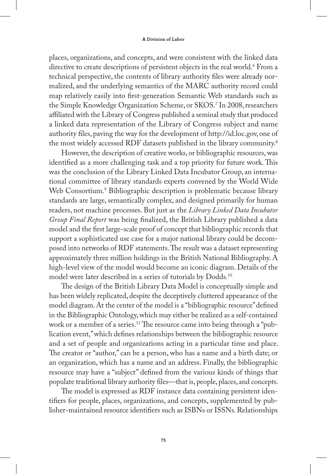places, organizations, and concepts, and were consistent with the linked data directive to create descriptions of persistent objects in the real world.<sup>6</sup> From a technical perspective, the contents of library authority files were already normalized, and the underlying semantics of the MARC authority record could map relatively easily into first-generation Semantic Web standards such as the Simple Knowledge Organization Scheme, or SKOS.7 In 2008, researchers affiliated with the Library of Congress published a seminal study that produced a linked data representation of the Library of Congress subject and name authority files, paving the way for the development of http://id.loc.gov, one of the most widely accessed RDF datasets published in the library community.8

However, the description of creative works, or bibliographic resources, was identified as a more challenging task and a top priority for future work. This was the conclusion of the Library Linked Data Incubator Group, an international committee of library standards experts convened by the World Wide Web Consortium.<sup>9</sup> Bibliographic description is problematic because library standards are large, semantically complex, and designed primarily for human readers, not machine processes. But just as the *Library Linked Data Incubator Group Final Report* was being finalized, the British Library published a data model and the first large-scale proof of concept that bibliographic records that support a sophisticated use case for a major national library could be decomposed into networks of RDF statements. The result was a dataset representing approximately three million holdings in the British National Bibliography. A high-level view of the model would become an iconic diagram. Details of the model were later described in a series of tutorials by Dodds.10

The design of the British Library Data Model is conceptually simple and has been widely replicated, despite the deceptively cluttered appearance of the model diagram. At the center of the model is a "bibliographic resource" defined in the Bibliographic Ontology, which may either be realized as a self-contained work or a member of a series.<sup>11</sup> The resource came into being through a "publication event," which defines relationships between the bibliographic resource and a set of people and organizations acting in a particular time and place. The creator or "author," can be a person, who has a name and a birth date; or an organization, which has a name and an address. Finally, the bibliographic resource may have a "subject" defined from the various kinds of things that populate traditional library authority files—that is, people, places, and concepts.

The model is expressed as RDF instance data containing persistent identifiers for people, places, organizations, and concepts, supplemented by publisher-maintained resource identifiers such as ISBNs or ISSNs. Relationships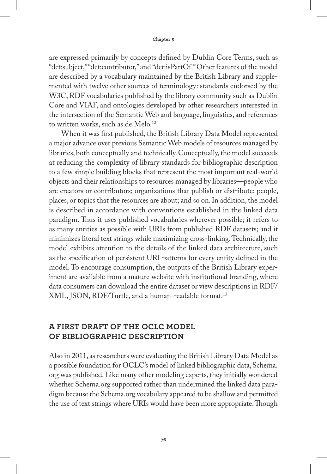are expressed primarily by concepts defined by Dublin Core Terms, such as "dct:subject," "dct:contributor," and "dct:isPartOf." Other features of the model are described by a vocabulary maintained by the British Library and supplemented with twelve other sources of terminology: standards endorsed by the W3C, RDF vocabularies published by the library community such as Dublin Core and VIAF, and ontologies developed by other researchers interested in the intersection of the Semantic Web and language, linguistics, and references to written works, such as de Melo.<sup>12</sup>

When it was first published, the British Library Data Model represented a major advance over previous Semantic Web models of resources managed by libraries, both conceptually and technically. Conceptually, the model succeeds at reducing the complexity of library standards for bibliographic description to a few simple building blocks that represent the most important real-world objects and their relationships to resources managed by libraries—people who are creators or contributors; organizations that publish or distribute; people, places, or topics that the resources are about; and so on. In addition, the model is described in accordance with conventions established in the linked data paradigm. Thus it uses published vocabularies wherever possible; it refers to as many entities as possible with URIs from published RDF datasets; and it minimizes literal text strings while maximizing cross-linking. Technically, the model exhibits attention to the details of the linked data architecture, such as the specification of persistent URI patterns for every entity defined in the model. To encourage consumption, the outputs of the British Library experiment are available from a mature website with institutional branding, where data consumers can download the entire dataset or view descriptions in RDF/ XML, JSON, RDF/Turtle, and a human-readable format.<sup>13</sup>

# **A FIRST DRAFT OF THE OCLC MODEL OF BIBLIOGRAPHIC DESCRIPTION**

Also in 2011, as researchers were evaluating the British Library Data Model as a possible foundation for OCLC's model of linked bibliographic data, Schema. org was published. Like many other modeling experts, they initially wondered whether Schema.org supported rather than undermined the linked data paradigm because the Schema.org vocabulary appeared to be shallow and permitted the use of text strings where URIs would have been more appropriate. Though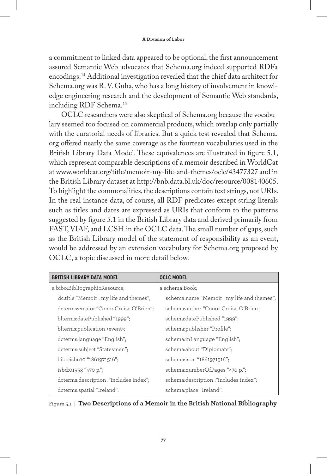a commitment to linked data appeared to be optional, the first announcement assured Semantic Web advocates that Schema.org indeed supported RDFa encodings.14 Additional investigation revealed that the chief data architect for Schema.org was R. V. Guha, who has a long history of involvement in knowledge engineering research and the development of Semantic Web standards, including RDF Schema.15

OCLC researchers were also skeptical of Schema.org because the vocabulary seemed too focused on commercial products, which overlap only partially with the curatorial needs of libraries. But a quick test revealed that Schema. org offered nearly the same coverage as the fourteen vocabularies used in the British Library Data Model. These equivalences are illustrated in figure 5.1, which represent comparable descriptions of a memoir described in WorldCat at www.worldcat.org/title/memoir-my-life-and-themes/oclc/43477327 and in the British Library dataset at http://bnb.data.bl.uk/doc/resource/008140605. To highlight the commonalities, the descriptions contain text strings, not URIs. In the real instance data, of course, all RDF predicates except string literals such as titles and dates are expressed as URIs that conform to the patterns suggested by figure 5.1 in the British Library data and derived primarily from FAST, VIAF, and LCSH in the OCLC data. The small number of gaps, such as the British Library model of the statement of responsibility as an event, would be addressed by an extension vocabulary for Schema.org proposed by OCLC, a topic discussed in more detail below.

| <b>BRITISH LIBRARY DATA MODEL</b>        | <b>OCLC MODEL</b>                          |
|------------------------------------------|--------------------------------------------|
| a bibo:BibliographicResource;            | a schema:Book:                             |
| dc:title "Memoir: my life and themes";   | schema:name "Memoir : my life and themes"; |
| dcterms: creator "Conor Cruise O'Brien"; | schema:author "Conor Cruise O'Brien;       |
| blterms:datePublished "1999";            | schema:datePublished "1999";               |
| blterms:publication <event>;</event>     | schema:publisher "Profile";                |
| dcterms:language "English";              | schema:inLanguage "English";               |
| dcterms:subject "Statesmen";             | schema:about "Diplomats";                  |
| bibo:isbn10 "1861971516";                | schema:isbn "1861971516";                  |
| isbd:01953 "470 p.";                     | schema:numberOfPages "470 p.";             |
| dcterms: description : "includes index"; | schema: description: "includes index";     |
| dcterms:spatial "Ireland".               | schema:place "Ireland".                    |

Figure 5.1 | **Two Descriptions of a Memoir in the British National Bibliography**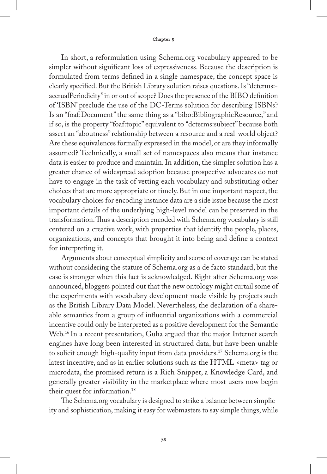In short, a reformulation using Schema.org vocabulary appeared to be simpler without significant loss of expressiveness. Because the description is formulated from terms defined in a single namespace, the concept space is clearly specified. But the British Library solution raises questions. Is "dcterms: accrualPeriodicity" in or out of scope? Does the presence of the BIBO definition of 'ISBN' preclude the use of the DC-Terms solution for describing ISBNs? Is an "foaf:Document" the same thing as a "bibo:BibliographicResource," and if so, is the property "foaf:topic" equivalent to "dcterms:subject" because both assert an "aboutness" relationship between a resource and a real-world object? Are these equivalences formally expressed in the model, or are they informally assumed? Technically, a small set of namespaces also means that instance data is easier to produce and maintain. In addition, the simpler solution has a greater chance of widespread adoption because prospective advocates do not have to engage in the task of vetting each vocabulary and substituting other choices that are more appropriate or timely. But in one important respect, the vocabulary choices for encoding instance data are a side issue because the most important details of the underlying high-level model can be preserved in the transformation. Thus a description encoded with Schema.org vocabulary is still centered on a creative work, with properties that identify the people, places, organizations, and concepts that brought it into being and define a context for interpreting it.

Arguments about conceptual simplicity and scope of coverage can be stated without considering the stature of Schema.org as a de facto standard, but the case is stronger when this fact is acknowledged. Right after Schema.org was announced, bloggers pointed out that the new ontology might curtail some of the experiments with vocabulary development made visible by projects such as the British Library Data Model. Nevertheless, the declaration of a shareable semantics from a group of influential organizations with a commercial incentive could only be interpreted as a positive development for the Semantic Web.<sup>16</sup> In a recent presentation, Guha argued that the major Internet search engines have long been interested in structured data, but have been unable to solicit enough high-quality input from data providers.17 Schema.org is the latest incentive, and as in earlier solutions such as the HTML <meta> tag or microdata, the promised return is a Rich Snippet, a Knowledge Card, and generally greater visibility in the marketplace where most users now begin their quest for information.<sup>18</sup>

The Schema.org vocabulary is designed to strike a balance between simplicity and sophistication, making it easy for webmasters to say simple things, while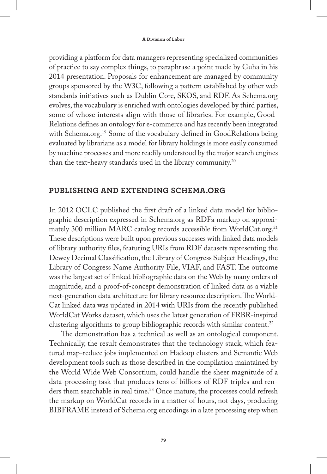providing a platform for data managers representing specialized communities of practice to say complex things, to paraphrase a point made by Guha in his 2014 presentation. Proposals for enhancement are managed by community groups sponsored by the W3C, following a pattern established by other web standards initiatives such as Dublin Core, SKOS, and RDF. As Schema.org evolves, the vocabulary is enriched with ontologies developed by third parties, some of whose interests align with those of libraries. For example, Good-Relations defines an ontology for e-commerce and has recently been integrated with Schema.org.<sup>19</sup> Some of the vocabulary defined in GoodRelations being evaluated by librarians as a model for library holdings is more easily consumed by machine processes and more readily understood by the major search engines than the text-heavy standards used in the library community.<sup>20</sup>

## **PUBLISHING AND EXTENDING SCHEMA.ORG**

In 2012 OCLC published the first draft of a linked data model for bibliographic description expressed in Schema.org as RDFa markup on approximately 300 million MARC catalog records accessible from WorldCat.org.<sup>21</sup> These descriptions were built upon previous successes with linked data models of library authority files, featuring URIs from RDF datasets representing the Dewey Decimal Classification, the Library of Congress Subject Headings, the Library of Congress Name Authority File, VIAF, and FAST. The outcome was the largest set of linked bibliographic data on the Web by many orders of magnitude, and a proof-of-concept demonstration of linked data as a viable next-generation data architecture for library resource description. The World-Cat linked data was updated in 2014 with URIs from the recently published WorldCat Works dataset, which uses the latest generation of FRBR-inspired clustering algorithms to group bibliographic records with similar content.<sup>22</sup>

The demonstration has a technical as well as an ontological component. Technically, the result demonstrates that the technology stack, which featured map-reduce jobs implemented on Hadoop clusters and Semantic Web development tools such as those described in the compilation maintained by the World Wide Web Consortium, could handle the sheer magnitude of a data-processing task that produces tens of billions of RDF triples and renders them searchable in real time.<sup>23</sup> Once mature, the processes could refresh the markup on WorldCat records in a matter of hours, not days, producing BIBFRAME instead of Schema.org encodings in a late processing step when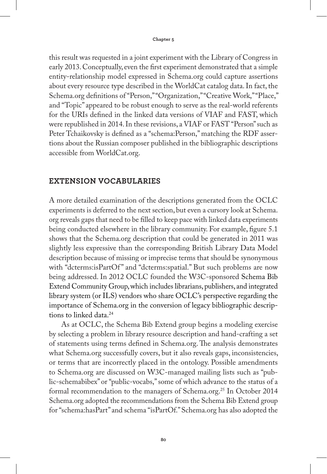this result was requested in a joint experiment with the Library of Congress in early 2013. Conceptually, even the first experiment demonstrated that a simple entity-relationship model expressed in Schema.org could capture assertions about every resource type described in the WorldCat catalog data. In fact, the Schema.org definitions of "Person," "Organization," "Creative Work," "Place," and "Topic" appeared to be robust enough to serve as the real-world referents for the URIs defined in the linked data versions of VIAF and FAST, which were republished in 2014. In these revisions, a VIAF or FAST "Person" such as Peter Tchaikovsky is defined as a "schema:Person," matching the RDF assertions about the Russian composer published in the bibliographic descriptions accessible from WorldCat.org.

## **EXTENSION VOCABULARIES**

A more detailed examination of the descriptions generated from the OCLC experiments is deferred to the next section, but even a cursory look at Schema. org reveals gaps that need to be filled to keep pace with linked data experiments being conducted elsewhere in the library community. For example, figure 5.1 shows that the Schema.org description that could be generated in 2011 was slightly less expressive than the corresponding British Library Data Model description because of missing or imprecise terms that should be synonymous with "dcterms:isPartOf" and "dcterms:spatial." But such problems are now being addressed. In 2012 OCLC founded the W3C-sponsored Schema Bib Extend Community Group, which includes librarians, publishers, and integrated library system (or ILS) vendors who share OCLC's perspective regarding the importance of Schema.org in the conversion of legacy bibliographic descriptions to linked data.24

As at OCLC, the Schema Bib Extend group begins a modeling exercise by selecting a problem in library resource description and hand-crafting a set of statements using terms defined in Schema.org. The analysis demonstrates what Schema.org successfully covers, but it also reveals gaps, inconsistencies, or terms that are incorrectly placed in the ontology. Possible amendments to Schema.org are discussed on W3C-managed mailing lists such as "public-schemabibex" or "public-vocabs," some of which advance to the status of a formal recommendation to the managers of Schema.org.25 In October 2014 Schema.org adopted the recommendations from the Schema Bib Extend group for "schema:hasPart" and schema "isPartOf." Schema.org has also adopted the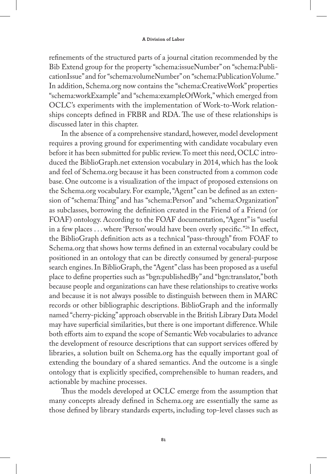refinements of the structured parts of a journal citation recommended by the Bib Extend group for the property "schema:issueNumber" on "schema:PublicationIssue" and for "schema:volumeNumber" on "schema:PublicationVolume." In addition, Schema.org now contains the "schema:CreativeWork" properties "schema:workExample" and "schema:exampleOfWork," which emerged from OCLC's experiments with the implementation of Work-to-Work relationships concepts defined in FRBR and RDA. The use of these relationships is discussed later in this chapter.

In the absence of a comprehensive standard, however, model development requires a proving ground for experimenting with candidate vocabulary even before it has been submitted for public review. To meet this need, OCLC introduced the BiblioGraph.net extension vocabulary in 2014, which has the look and feel of Schema.org because it has been constructed from a common code base. One outcome is a visualization of the impact of proposed extensions on the Schema.org vocabulary. For example, "Agent" can be defined as an extension of "schema:Thing" and has "schema:Person" and "schema:Organization" as subclasses, borrowing the definition created in the Friend of a Friend (or FOAF) ontology. According to the FOAF documentation, "Agent" is "useful in a few places . . . where 'Person' would have been overly specific."26 In effect, the BiblioGraph definition acts as a technical "pass-through" from FOAF to Schema.org that shows how terms defined in an external vocabulary could be positioned in an ontology that can be directly consumed by general-purpose search engines. In BiblioGraph, the "Agent" class has been proposed as a useful place to define properties such as "bgn:publishedBy" and "bgn:translator," both because people and organizations can have these relationships to creative works and because it is not always possible to distinguish between them in MARC records or other bibliographic descriptions. BiblioGraph and the informally named "cherry-picking" approach observable in the British Library Data Model may have superficial similarities, but there is one important difference. While both efforts aim to expand the scope of Semantic Web vocabularies to advance the development of resource descriptions that can support services offered by libraries, a solution built on Schema.org has the equally important goal of extending the boundary of a shared semantics. And the outcome is a single ontology that is explicitly specified, comprehensible to human readers, and actionable by machine processes.

Thus the models developed at OCLC emerge from the assumption that many concepts already defined in Schema.org are essentially the same as those defined by library standards experts, including top-level classes such as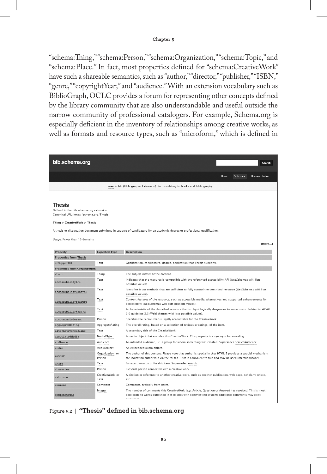"schema:Thing," "schema:Person," "schema:Organization," "schema:Topic," and "schema:Place." In fact, most properties defined for "schema:CreativeWork" have such a shareable semantics, such as "author," "director," "publisher," "ISBN," "genre," "copyrightYear," and "audience." With an extension vocabulary such as BiblioGraph, OCLC provides a forum for representing other concepts defined by the library community that are also understandable and useful outside the narrow community of professional catalogers. For example, Schema.org is especially deficient in the inventory of relationships among creative works, as well as formats and resource types, such as "microform," which is defined in

| bib.schema.org                                                                                                                                                                                                                                                    |                           | Search                                                                                                                                                                                                                        |  |
|-------------------------------------------------------------------------------------------------------------------------------------------------------------------------------------------------------------------------------------------------------------------|---------------------------|-------------------------------------------------------------------------------------------------------------------------------------------------------------------------------------------------------------------------------|--|
|                                                                                                                                                                                                                                                                   |                           | Schemas<br>Documentation<br>Home                                                                                                                                                                                              |  |
| core + bib (Bibliographic Extension): terms relating to books and bibliography.                                                                                                                                                                                   |                           |                                                                                                                                                                                                                               |  |
| Thesis<br>Defined in the bib.schema.org extension.<br>Canonical URL: http://schema.org/Thesis<br>Thing $>$ CreativeWork $>$ Thesis<br>A thesis or dissertation document submitted in support of candidature for an academic degree or professional qualification. |                           |                                                                                                                                                                                                                               |  |
| Usage: Fewer than 10 domains<br>[more]                                                                                                                                                                                                                            |                           |                                                                                                                                                                                                                               |  |
| <b>Property</b>                                                                                                                                                                                                                                                   | <b>Expected Type</b>      | <b>Description</b>                                                                                                                                                                                                            |  |
| <b>Properties from Thesis</b>                                                                                                                                                                                                                                     |                           |                                                                                                                                                                                                                               |  |
| inSupportOf                                                                                                                                                                                                                                                       | Text                      | Qualification, candidature, degree, application that Thesis supports.                                                                                                                                                         |  |
| <b>Properties from CreativeWork</b>                                                                                                                                                                                                                               |                           |                                                                                                                                                                                                                               |  |
| about                                                                                                                                                                                                                                                             | Thing                     | The subject matter of the content.                                                                                                                                                                                            |  |
| accessibilityAPI                                                                                                                                                                                                                                                  | Text                      | Indicates that the resource is compatible with the referenced accessibility API (WebSchemas wiki lists<br>possible values).                                                                                                   |  |
| accessibilityControl                                                                                                                                                                                                                                              | Text                      | Identifies input methods that are sufficient to fully control the described resource (WebSchemas wiki lists<br>possible values).                                                                                              |  |
| accessibilityFeature                                                                                                                                                                                                                                              | Text                      | Content features of the resource, such as accessible media, alternatives and supported enhancements for<br>accessibility (WebSchemas wiki lists possible values).                                                             |  |
| accessibilityHazard                                                                                                                                                                                                                                               | Text                      | A characteristic of the described resource that is physiologically dangerous to some users. Related to WCAG<br>2.0 quideline 2.3 (WebSchemas wiki lists possible values).                                                     |  |
| accountablePerson                                                                                                                                                                                                                                                 | Person                    | Specifies the Person that is legally accountable for the CreativeWork.                                                                                                                                                        |  |
| aggregateRating                                                                                                                                                                                                                                                   | AggregateRating           | The overall rating, based on a collection of reviews or ratings, of the item.                                                                                                                                                 |  |
| alternativeHeadline                                                                                                                                                                                                                                               | Text                      | A secondary title of the CreativeWork.                                                                                                                                                                                        |  |
| associatedMedia                                                                                                                                                                                                                                                   | MediaObject               | A media object that encodes this CreativeWork. This property is a synonym for encoding.                                                                                                                                       |  |
| audience                                                                                                                                                                                                                                                          | Audience                  | An intended audience, i.e. a group for whom something was created. Supersedes serviceAudience.                                                                                                                                |  |
| audio                                                                                                                                                                                                                                                             | AudioObject               | An embedded audio object.                                                                                                                                                                                                     |  |
| author                                                                                                                                                                                                                                                            | Organization or<br>Person | The author of this content. Please note that author is special in that HTML 5 provides a special mechanism<br>for indicating authorship via the rel tag. That is equivalent to this and may be used interchangeably.          |  |
| award                                                                                                                                                                                                                                                             | Text                      | An award won by or for this item. Supersedes awards.                                                                                                                                                                          |  |
| character                                                                                                                                                                                                                                                         | Person                    | Fictional person connected with a creative work.                                                                                                                                                                              |  |
| citation                                                                                                                                                                                                                                                          | CreativeWork or<br>Text   | A citation or reference to another creative work, such as another publication, web page, scholarly article,<br>etc.                                                                                                           |  |
| comment                                                                                                                                                                                                                                                           | Comment                   | Comments, typically from users.                                                                                                                                                                                               |  |
| commentCount                                                                                                                                                                                                                                                      | Integer                   | The number of comments this CreativeWork (e.g. Article, Question or Answer) has received. This is most<br>applicable to works published in Web sites with commenting system; additional comments may exist<br>وموالين والمناو |  |

Figure 5.2 | **"Thesis" defined in bib.schema.org**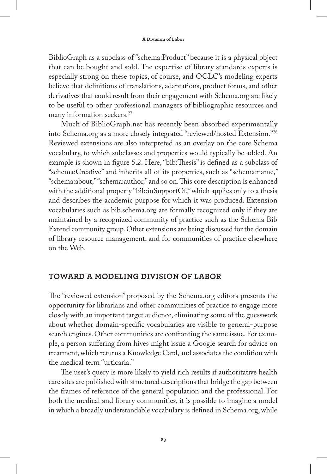BiblioGraph as a subclass of "schema:Product" because it is a physical object that can be bought and sold. The expertise of library standards experts is especially strong on these topics, of course, and OCLC's modeling experts believe that definitions of translations, adaptations, product forms, and other derivatives that could result from their engagement with Schema.org are likely to be useful to other professional managers of bibliographic resources and many information seekers.27

Much of BiblioGraph.net has recently been absorbed experimentally into Schema.org as a more closely integrated "reviewed/hosted Extension."28 Reviewed extensions are also interpreted as an overlay on the core Schema vocabulary, to which subclasses and properties would typically be added. An example is shown in figure 5.2. Here, "bib:Thesis" is defined as a subclass of "schema:Creative" and inherits all of its properties, such as "schema:name," "schema:about," "schema:author," and so on. This core description is enhanced with the additional property "bib:inSupportOf," which applies only to a thesis and describes the academic purpose for which it was produced. Extension vocabularies such as bib.schema.org are formally recognized only if they are maintained by a recognized community of practice such as the Schema Bib Extend community group. Other extensions are being discussed for the domain of library resource management, and for communities of practice elsewhere on the Web.

## **TOWARD A MODELING DIVISION OF LABOR**

The "reviewed extension" proposed by the Schema.org editors presents the opportunity for librarians and other communities of practice to engage more closely with an important target audience, eliminating some of the guesswork about whether domain-specific vocabularies are visible to general-purpose search engines. Other communities are confronting the same issue. For example, a person suffering from hives might issue a Google search for advice on treatment, which returns a Knowledge Card, and associates the condition with the medical term "urticaria."

The user's query is more likely to yield rich results if authoritative health care sites are published with structured descriptions that bridge the gap between the frames of reference of the general population and the professional. For both the medical and library communities, it is possible to imagine a model in which a broadly understandable vocabulary is defined in Schema.org, while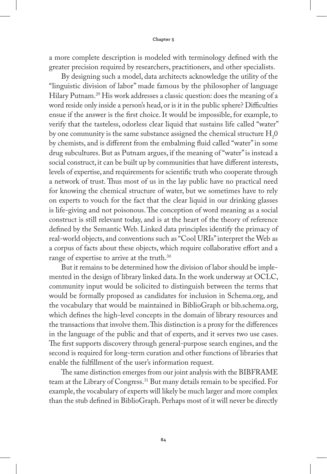a more complete description is modeled with terminology defined with the greater precision required by researchers, practitioners, and other specialists.

By designing such a model, data architects acknowledge the utility of the "linguistic division of labor" made famous by the philosopher of language Hilary Putnam.29 His work addresses a classic question: does the meaning of a word reside only inside a person's head, or is it in the public sphere? Difficulties ensue if the answer is the first choice. It would be impossible, for example, to verify that the tasteless, odorless clear liquid that sustains life called "water" by one community is the same substance assigned the chemical structure  $\rm H_2O$ by chemists, and is different from the embalming fluid called "water" in some drug subcultures. But as Putnam argues, if the meaning of "water" is instead a social construct, it can be built up by communities that have different interests, levels of expertise, and requirements for scientific truth who cooperate through a network of trust. Thus most of us in the lay public have no practical need for knowing the chemical structure of water, but we sometimes have to rely on experts to vouch for the fact that the clear liquid in our drinking glasses is life-giving and not poisonous. The conception of word meaning as a social construct is still relevant today, and is at the heart of the theory of reference defined by the Semantic Web. Linked data principles identify the primacy of real-world objects, and conventions such as "Cool URIs" interpret the Web as a corpus of facts about these objects, which require collaborative effort and a range of expertise to arrive at the truth.<sup>30</sup>

But it remains to be determined how the division of labor should be implemented in the design of library linked data. In the work underway at OCLC, community input would be solicited to distinguish between the terms that would be formally proposed as candidates for inclusion in Schema.org, and the vocabulary that would be maintained in BiblioGraph or bib.schema.org, which defines the high-level concepts in the domain of library resources and the transactions that involve them. This distinction is a proxy for the differences in the language of the public and that of experts, and it serves two use cases. The first supports discovery through general-purpose search engines, and the second is required for long-term curation and other functions of libraries that enable the fulfillment of the user's information request.

The same distinction emerges from our joint analysis with the BIBFRAME team at the Library of Congress.31 But many details remain to be specified. For example, the vocabulary of experts will likely be much larger and more complex than the stub defined in BiblioGraph. Perhaps most of it will never be directly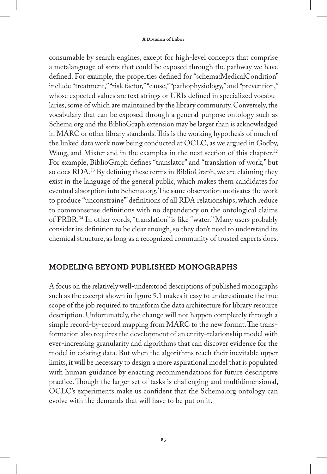consumable by search engines, except for high-level concepts that comprise a metalanguage of sorts that could be exposed through the pathway we have defined. For example, the properties defined for "schema:MedicalCondition" include "treatment," "risk factor," "cause," "pathophysiology," and "prevention," whose expected values are text strings or URIs defined in specialized vocabularies, some of which are maintained by the library community. Conversely, the vocabulary that can be exposed through a general-purpose ontology such as Schema.org and the BiblioGraph extension may be larger than is acknowledged in MARC or other library standards. This is the working hypothesis of much of the linked data work now being conducted at OCLC, as we argued in Godby, Wang, and Mixter and in the examples in the next section of this chapter.<sup>32</sup> For example, BiblioGraph defines "translator" and "translation of work," but so does RDA.<sup>33</sup> By defining these terms in BiblioGraph, we are claiming they exist in the language of the general public, which makes them candidates for eventual absorption into Schema.org. The same observation motivates the work to produce "unconstraine"' definitions of all RDA relationships, which reduce to commonsense definitions with no dependency on the ontological claims of FRBR.34 In other words, "translation" is like "water." Many users probably consider its definition to be clear enough, so they don't need to understand its chemical structure, as long as a recognized community of trusted experts does.

## **MODELING BEYOND PUBLISHED MONOGRAPHS**

A focus on the relatively well-understood descriptions of published monographs such as the excerpt shown in figure 5.1 makes it easy to underestimate the true scope of the job required to transform the data architecture for library resource description. Unfortunately, the change will not happen completely through a simple record-by-record mapping from MARC to the new format. The transformation also requires the development of an entity-relationship model with ever-increasing granularity and algorithms that can discover evidence for the model in existing data. But when the algorithms reach their inevitable upper limits, it will be necessary to design a more aspirational model that is populated with human guidance by enacting recommendations for future descriptive practice. Though the larger set of tasks is challenging and multidimensional, OCLC's experiments make us confident that the Schema.org ontology can evolve with the demands that will have to be put on it.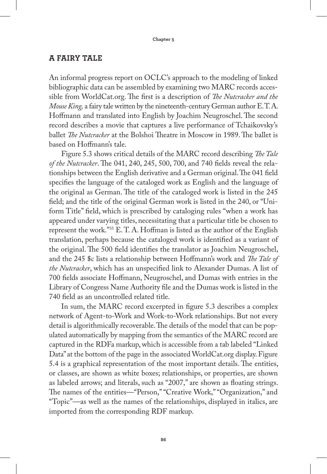## **A FAIRY TALE**

An informal progress report on OCLC's approach to the modeling of linked bibliographic data can be assembled by examining two MARC records accessible from WorldCat.org. The first is a description of *The Nutcracker and the Mouse King,* a fairy tale written by the nineteenth-century German author E. T. A. Hoffmann and translated into English by Joachim Neugroschel. The second record describes a movie that captures a live performance of Tchaikovsky's ballet *The Nutcracker* at the Bolshoi Theatre in Moscow in 1989. The ballet is based on Hoffmann's tale.

Figure 5.3 shows critical details of the MARC record describing *The Tale of the Nutcracker*. The 041, 240, 245, 500, 700, and 740 fields reveal the relationships between the English derivative and a German original. The 041 field specifies the language of the cataloged work as English and the language of the original as German. The title of the cataloged work is listed in the 245 field; and the title of the original German work is listed in the 240, or "Uniform Title" field, which is prescribed by cataloging rules "when a work has appeared under varying titles, necessitating that a particular title be chosen to represent the work."35 E. T. A. Hoffman is listed as the author of the English translation, perhaps because the cataloged work is identified as a variant of the original. The 500 field identifies the translator as Joachim Neugroschel, and the 245 \$c lists a relationship between Hoffmann's work and *The Tale of the Nutcracker*, which has an unspecified link to Alexander Dumas. A list of 700 fields associate Hoffmann, Neugroschel, and Dumas with entries in the Library of Congress Name Authority file and the Dumas work is listed in the 740 field as an uncontrolled related title.

In sum, the MARC record excerpted in figure 5.3 describes a complex network of Agent-to-Work and Work-to-Work relationships. But not every detail is algorithmically recoverable. The details of the model that can be populated automatically by mapping from the semantics of the MARC record are captured in the RDFa markup, which is accessible from a tab labeled "Linked Data" at the bottom of the page in the associated WorldCat.org display. Figure 5.4 is a graphical representation of the most important details. The entities, or classes, are shown as white boxes; relationships, or properties, are shown as labeled arrows; and literals, such as "2007," are shown as floating strings. The names of the entities—"Person," "Creative Work," "Organization," and "Topic"—as well as the names of the relationships, displayed in italics, are imported from the corresponding RDF markup.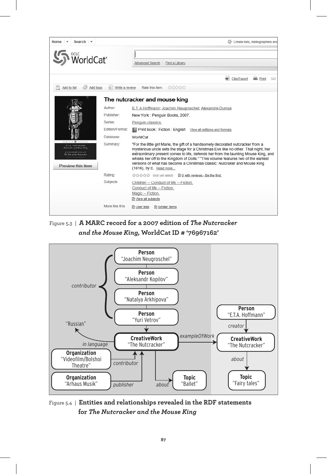

Figure 5.3 | **A MARC record for a 2007 edition of** *The Nutcracker and the Mouse King,* **WorldCat ID # '76967162'**



Figure 5.4 | **Entities and relationships revealed in the RDF statements for** *The Nutcracker and the Mouse King*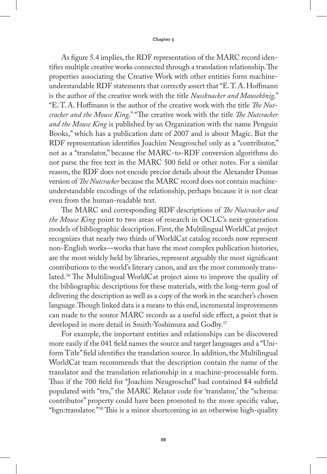As figure 5.4 implies, the RDF representation of the MARC record identifies multiple creative works connected through a translation relationship. The properties associating the Creative Work with other entities form machineunderstandable RDF statements that correctly assert that "E. T. A. Hoffmann is the author of the creative work with the title *Nussknacker and Mausekőnig,*" "E. T. A. Hoffmann is the author of the creative work with the title *The Nutcracker and the Mouse King,*" "The creative work with the title *The Nutcracker and the Mouse King* is published by an Organization with the name Penguin Books," which has a publication date of 2007 and is about Magic. But the RDF representation identifies Joachim Neugroschel only as a "contributor," not as a "translator," because the MARC-to-RDF conversion algorithms do not parse the free text in the MARC 500 field or other notes. For a similar reason, the RDF does not encode precise details about the Alexander Dumas version of *The Nutcracker* because the MARC record does not contain machineunderstandable encodings of the relationship, perhaps because it is not clear even from the human-readable text.

The MARC and corresponding RDF descriptions of *The Nutcracker and the Mouse King* point to two areas of research in OCLC's next-generation models of bibliographic description. First, the Multilingual WorldCat project recognizes that nearly two thirds of WorldCat catalog records now represent non-English works—works that have the most complex publication histories, are the most widely held by libraries, represent arguably the most significant contributions to the world's literary canon, and are the most commonly translated.36 The Multilingual WorldCat project aims to improve the quality of the bibliographic descriptions for these materials, with the long-term goal of delivering the description as well as a copy of the work in the searcher's chosen language. Though linked data is a means to this end, incremental improvements can made to the source MARC records as a useful side effect, a point that is developed in more detail in Smith-Yoshimura and Godby.<sup>37</sup>

For example, the important entities and relationships can be discovered more easily if the 041 field names the source and target languages and a "Uniform Title" field identifies the translation source. In addition, the Multilingual WorldCat team recommends that the description contain the name of the translator and the translation relationship in a machine-processable form. Thus if the 700 field for "Joachim Neugroschel" had contained \$4 subfield populated with "trn," the MARC Relator code for 'translator,' the "schema: contributor" property could have been promoted to the more specific value, "bgn:translator."38 This is a minor shortcoming in an otherwise high-quality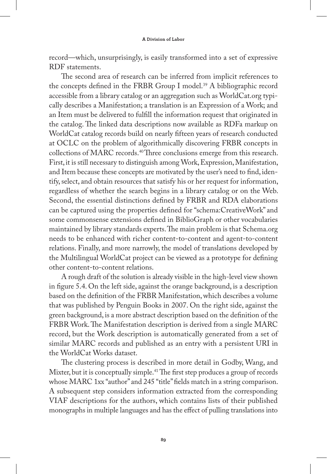record—which, unsurprisingly, is easily transformed into a set of expressive RDF statements.

The second area of research can be inferred from implicit references to the concepts defined in the FRBR Group I model.39 A bibliographic record accessible from a library catalog or an aggregation such as WorldCat.org typically describes a Manifestation; a translation is an Expression of a Work; and an Item must be delivered to fulfill the information request that originated in the catalog. The linked data descriptions now available as RDFa markup on WorldCat catalog records build on nearly fifteen years of research conducted at OCLC on the problem of algorithmically discovering FRBR concepts in collections of MARC records.40 Three conclusions emerge from this research. First, it is still necessary to distinguish among Work, Expression, Manifestation, and Item because these concepts are motivated by the user's need to find, identify, select, and obtain resources that satisfy his or her request for information, regardless of whether the search begins in a library catalog or on the Web. Second, the essential distinctions defined by FRBR and RDA elaborations can be captured using the properties defined for "schema:CreativeWork" and some commonsense extensions defined in BiblioGraph or other vocabularies maintained by library standards experts. The main problem is that Schema.org needs to be enhanced with richer content-to-content and agent-to-content relations. Finally, and more narrowly, the model of translations developed by the Multilingual WorldCat project can be viewed as a prototype for defining other content-to-content relations.

A rough draft of the solution is already visible in the high-level view shown in figure 5.4. On the left side, against the orange background, is a description based on the definition of the FRBR Manifestation, which describes a volume that was published by Penguin Books in 2007. On the right side, against the green background, is a more abstract description based on the definition of the FRBR Work. The Manifestation description is derived from a single MARC record, but the Work description is automatically generated from a set of similar MARC records and published as an entry with a persistent URI in the WorldCat Works dataset.

The clustering process is described in more detail in Godby, Wang, and Mixter, but it is conceptually simple.41 The first step produces a group of records whose MARC 1xx "author" and 245 "title" fields match in a string comparison. A subsequent step considers information extracted from the corresponding VIAF descriptions for the authors, which contains lists of their published monographs in multiple languages and has the effect of pulling translations into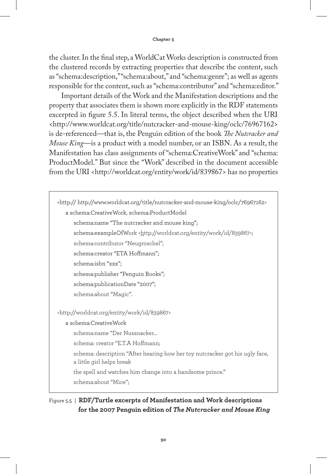the cluster. In the final step, a WorldCat Works description is constructed from the clustered records by extracting properties that describe the content, such as "schema:description," "schema:about," and "schema:genre"; as well as agents responsible for the content, such as "schema:contributor" and "schema:editor."

Important details of the Work and the Manifestation descriptions and the property that associates them is shown more explicitly in the RDF statements excerpted in figure 5.5. In literal terms, the object described when the URI <http://www.worldcat.org/title/nutcracker-and-mouse-king/oclc/76967162> is de-referenced—that is, the Penguin edition of the book *The Nutcracker and Mouse King*—is a product with a model number, or an ISBN. As a result, the Manifestation has class assignments of "schema:CreativeWork" and "schema: ProductModel." But since the "Work" described in the document accessible from the URI <http://worldcat.org/entity/work/id/839867> has no properties

| <http: 76967162="" http:="" nutcracker-and-mouse-king="" oclc="" title="" www.worldcat.org=""></http:>    |
|-----------------------------------------------------------------------------------------------------------|
| a schema:CreativeWork, schema:ProductModel                                                                |
| schema:name "The nutcracker and mouse king";                                                              |
| schema:exampleOfWork <http: 839867="" entity="" id="" work="" worldcat.org="">;</http:>                   |
| schema:contributor "Neugroschel";                                                                         |
| schema: creator "ETA Hoffmann";                                                                           |
| schema:isbn "xxx";                                                                                        |
| schema: publisher "Penguin Books";                                                                        |
| schema:publicationDate "2007";                                                                            |
| schema:about "Magic".                                                                                     |
|                                                                                                           |
| <http: 839867="" entity="" id="" work="" worldcat.org=""></http:>                                         |
| a schema:CreativeWork                                                                                     |
| schema:name "Der Nussnacker                                                                               |
| schema: creator "E.T.A Hoffmann:                                                                          |
| schema: description "After hearing how her toy nutcracker got his ugly face,<br>a little girl helps break |
| the spell and watches him change into a handsome prince."                                                 |
| schema:about "Mice";                                                                                      |

Figure 5.5 | **RDF/Turtle excerpts of Manifestation and Work descriptions for the 2007 Penguin edition of** *The Nutcracker and Mouse King*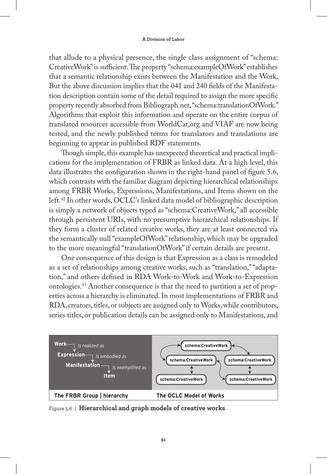that allude to a physical presence, the single class assignment of "schema: CreativeWork" is sufficient. The property "schema:exampleOfWork" establishes that a semantic relationship exists between the Manifestation and the Work. But the above discussion implies that the 041 and 240 fields of the Manifestation description contain some of the detail required to assign the more specific property recently absorbed from Bibliograph.net, "schema:translationOfWork." Algorithms that exploit this information and operate on the entire corpus of translated resources accessible from WorldCat,org and VIAF are now being tested, and the newly published terms for translators and translations are beginning to appear in published RDF statements.

Though simple, this example has unexpected theoretical and practical implications for the implementation of FRBR as linked data. At a high level, this data illustrates the configuration shown in the right-hand panel of figure 5.6, which contrasts with the familiar diagram depicting hierarchical relationships among FRBR Works, Expressions, Manifestations, and Items shown on the left.42 In other words, OCLC's linked data model of bibliographic description is simply a network of objects typed as "schema:CreativeWork," all accessible through persistent URIs, with no presumptive hierarchical relationships. If they form a cluster of related creative works, they are at least connected via the semantically null "exampleOfWork" relationship, which may be upgraded to the more meaningful "translationOfWork" if certain details are present.

One consequence of this design is that Expression as a class is remodeled as a set of relationships among creative works, such as "translation," "adaptation," and others defined in RDA Work-to-Work and Work-to-Expression ontologies.43 Another consequence is that the need to partition a set of properties across a hierarchy is eliminated. In most implementations of FRBR and RDA, creators, titles, or subjects are assigned only to Works, while contributors, series titles, or publication details can be assigned only to Manifestations, and



Figure 5.6 | **Hierarchical and graph models of creative works**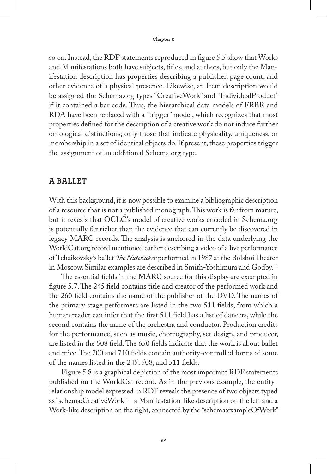so on. Instead, the RDF statements reproduced in figure 5.5 show that Works and Manifestations both have subjects, titles, and authors, but only the Manifestation description has properties describing a publisher, page count, and other evidence of a physical presence. Likewise, an Item description would be assigned the Schema.org types "CreativeWork" and "IndividualProduct" if it contained a bar code. Thus, the hierarchical data models of FRBR and RDA have been replaced with a "trigger" model, which recognizes that most properties defined for the description of a creative work do not induce further ontological distinctions; only those that indicate physicality, uniqueness, or membership in a set of identical objects do. If present, these properties trigger the assignment of an additional Schema.org type.

## **A BALLET**

With this background, it is now possible to examine a bibliographic description of a resource that is not a published monograph. This work is far from mature, but it reveals that OCLC's model of creative works encoded in Schema.org is potentially far richer than the evidence that can currently be discovered in legacy MARC records. The analysis is anchored in the data underlying the WorldCat.org record mentioned earlier describing a video of a live performance of Tchaikovsky's ballet *The Nutcracker* performed in 1987 at the Bolshoi Theater in Moscow. Similar examples are described in Smith-Yoshimura and Godby.<sup>44</sup>

The essential fields in the MARC source for this display are excerpted in figure 5.7. The 245 field contains title and creator of the performed work and the 260 field contains the name of the publisher of the DVD. The names of the primary stage performers are listed in the two 511 fields, from which a human reader can infer that the first 511 field has a list of dancers, while the second contains the name of the orchestra and conductor. Production credits for the performance, such as music, choreography, set design, and producer, are listed in the 508 field. The 650 fields indicate that the work is about ballet and mice. The 700 and 710 fields contain authority-controlled forms of some of the names listed in the 245, 508, and 511 fields.

Figure 5.8 is a graphical depiction of the most important RDF statements published on the WorldCat record. As in the previous example, the entityrelationship model expressed in RDF reveals the presence of two objects typed as "schema:CreativeWork"—a Manifestation-like description on the left and a Work-like description on the right, connected by the "schema:exampleOfWork"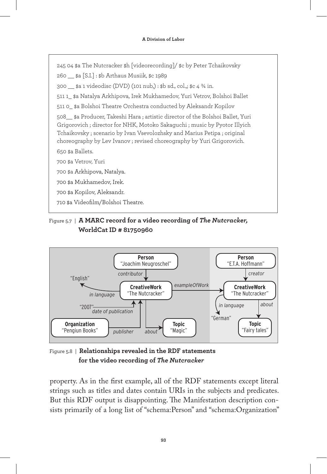





Figure 5.8 | **Relationships revealed in the RDF statements for the video recording of** *The Nutcracker*

property. As in the first example, all of the RDF statements except literal strings such as titles and dates contain URIs in the subjects and predicates. But this RDF output is disappointing. The Manifestation description consists primarily of a long list of "schema:Person" and "schema:Organization"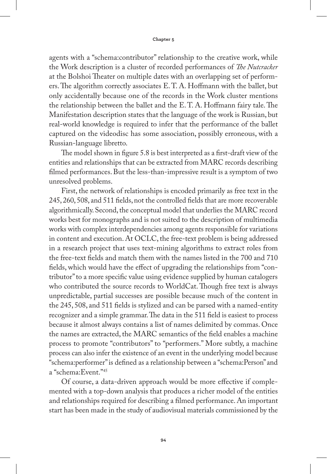agents with a "schema:contributor" relationship to the creative work, while the Work description is a cluster of recorded performances of *The Nutcracker* at the Bolshoi Theater on multiple dates with an overlapping set of performers. The algorithm correctly associates E. T. A. Hoffmann with the ballet, but only accidentally because one of the records in the Work cluster mentions the relationship between the ballet and the E. T. A. Hoffmann fairy tale. The Manifestation description states that the language of the work is Russian, but real-world knowledge is required to infer that the performance of the ballet captured on the videodisc has some association, possibly erroneous, with a Russian-language libretto.

The model shown in figure 5.8 is best interpreted as a first-draft view of the entities and relationships that can be extracted from MARC records describing filmed performances. But the less-than-impressive result is a symptom of two unresolved problems.

First, the network of relationships is encoded primarily as free text in the 245, 260, 508, and 511 fields, not the controlled fields that are more recoverable algorithmically. Second, the conceptual model that underlies the MARC record works best for monographs and is not suited to the description of multimedia works with complex interdependencies among agents responsible for variations in content and execution. At OCLC, the free-text problem is being addressed in a research project that uses text-mining algorithms to extract roles from the free-text fields and match them with the names listed in the 700 and 710 fields, which would have the effect of upgrading the relationships from "contributor" to a more specific value using evidence supplied by human catalogers who contributed the source records to WorldCat. Though free text is always unpredictable, partial successes are possible because much of the content in the 245, 508, and 511 fields is stylized and can be parsed with a named-entity recognizer and a simple grammar. The data in the 511 field is easiest to process because it almost always contains a list of names delimited by commas. Once the names are extracted, the MARC semantics of the field enables a machine process to promote "contributors" to "performers." More subtly, a machine process can also infer the existence of an event in the underlying model because "schema:performer" is defined as a relationship between a "schema:Person" and a "schema:Event."45

Of course, a data-driven approach would be more effective if complemented with a top-down analysis that produces a richer model of the entities and relationships required for describing a filmed performance. An important start has been made in the study of audiovisual materials commissioned by the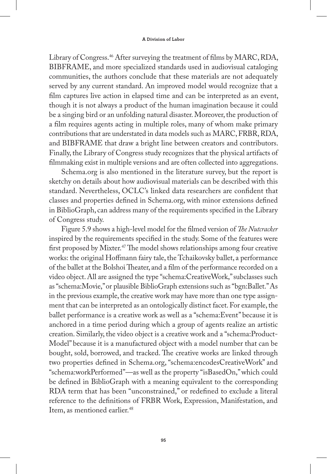Library of Congress.<sup>46</sup> After surveying the treatment of films by MARC, RDA, BIBFRAME, and more specialized standards used in audiovisual cataloging communities, the authors conclude that these materials are not adequately served by any current standard. An improved model would recognize that a film captures live action in elapsed time and can be interpreted as an event, though it is not always a product of the human imagination because it could be a singing bird or an unfolding natural disaster. Moreover, the production of a film requires agents acting in multiple roles, many of whom make primary contributions that are understated in data models such as MARC, FRBR, RDA, and BIBFRAME that draw a bright line between creators and contributors. Finally, the Library of Congress study recognizes that the physical artifacts of filmmaking exist in multiple versions and are often collected into aggregations.

Schema.org is also mentioned in the literature survey, but the report is sketchy on details about how audiovisual materials can be described with this standard. Nevertheless, OCLC's linked data researchers are confident that classes and properties defined in Schema.org, with minor extensions defined in BiblioGraph, can address many of the requirements specified in the Library of Congress study.

Figure 5.9 shows a high-level model for the filmed version of *The Nutcracker* inspired by the requirements specified in the study. Some of the features were first proposed by Mixter.<sup>47</sup> The model shows relationships among four creative works: the original Hoffmann fairy tale, the Tchaikovsky ballet, a performance of the ballet at the Bolshoi Theater, and a film of the performance recorded on a video object. All are assigned the type "schema:CreativeWork," subclasses such as "schema:Movie," or plausible BiblioGraph extensions such as "bgn:Ballet." As in the previous example, the creative work may have more than one type assignment that can be interpreted as an ontologically distinct facet. For example, the ballet performance is a creative work as well as a "schema:Event" because it is anchored in a time period during which a group of agents realize an artistic creation. Similarly, the video object is a creative work and a "schema:Product-Model" because it is a manufactured object with a model number that can be bought, sold, borrowed, and tracked. The creative works are linked through two properties defined in Schema.org, "schema:encodesCreativeWork" and "schema:workPerformed"—as well as the property "isBasedOn," which could be defined in BiblioGraph with a meaning equivalent to the corresponding RDA term that has been "unconstrained," or redefined to exclude a literal reference to the definitions of FRBR Work, Expression, Manifestation, and Item, as mentioned earlier.<sup>48</sup>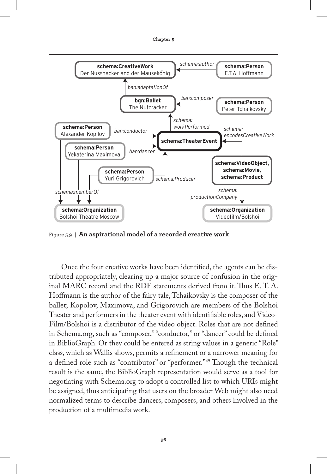

Figure 5.9 | **An aspirational model of a recorded creative work**

Once the four creative works have been identified, the agents can be distributed appropriately, clearing up a major source of confusion in the original MARC record and the RDF statements derived from it. Thus E. T. A. Hoffmann is the author of the fairy tale, Tchaikovsky is the composer of the ballet; Kopolov, Maximova, and Grigorovich are members of the Bolshoi Theater and performers in the theater event with identifiable roles, and Video-Film/Bolshoi is a distributor of the video object. Roles that are not defined in Schema.org, such as "composer," "conductor," or "dancer" could be defined in BiblioGraph. Or they could be entered as string values in a generic "Role" class, which as Wallis shows, permits a refinement or a narrower meaning for a defined role such as "contributor" or "performer."49 Though the technical result is the same, the BiblioGraph representation would serve as a tool for negotiating with Schema.org to adopt a controlled list to which URIs might be assigned, thus anticipating that users on the broader Web might also need normalized terms to describe dancers, composers, and others involved in the production of a multimedia work.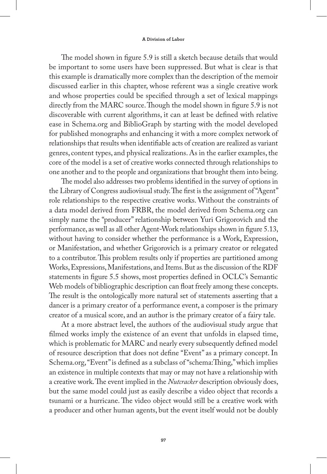The model shown in figure 5.9 is still a sketch because details that would be important to some users have been suppressed. But what is clear is that this example is dramatically more complex than the description of the memoir discussed earlier in this chapter, whose referent was a single creative work and whose properties could be specified through a set of lexical mappings directly from the MARC source. Though the model shown in figure 5.9 is not discoverable with current algorithms, it can at least be defined with relative ease in Schema.org and BiblioGraph by starting with the model developed for published monographs and enhancing it with a more complex network of relationships that results when identifiable acts of creation are realized as variant genres, content types, and physical realizations. As in the earlier examples, the core of the model is a set of creative works connected through relationships to one another and to the people and organizations that brought them into being.

The model also addresses two problems identified in the survey of options in the Library of Congress audiovisual study. The first is the assignment of "Agent" role relationships to the respective creative works. Without the constraints of a data model derived from FRBR, the model derived from Schema.org can simply name the "producer" relationship between Yuri Grigorovich and the performance, as well as all other Agent-Work relationships shown in figure 5.13, without having to consider whether the performance is a Work, Expression, or Manifestation, and whether Grigorovich is a primary creator or relegated to a contributor. This problem results only if properties are partitioned among Works, Expressions, Manifestations, and Items. But as the discussion of the RDF statements in figure 5.5 shows, most properties defined in OCLC's Semantic Web models of bibliographic description can float freely among these concepts. The result is the ontologically more natural set of statements asserting that a dancer is a primary creator of a performance event, a composer is the primary creator of a musical score, and an author is the primary creator of a fairy tale.

At a more abstract level, the authors of the audiovisual study argue that filmed works imply the existence of an event that unfolds in elapsed time, which is problematic for MARC and nearly every subsequently defined model of resource description that does not define "Event" as a primary concept. In Schema.org, "Event" is defined as a subclass of "schema:Thing," which implies an existence in multiple contexts that may or may not have a relationship with a creative work. The event implied in the *Nutcracker* description obviously does, but the same model could just as easily describe a video object that records a tsunami or a hurricane. The video object would still be a creative work with a producer and other human agents, but the event itself would not be doubly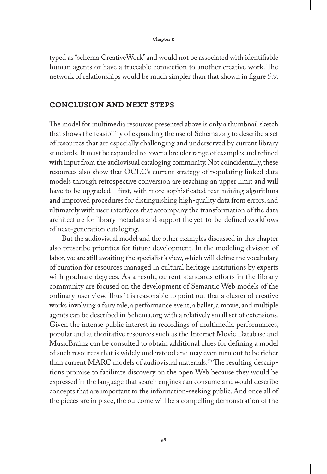typed as "schema:CreativeWork" and would not be associated with identifiable human agents or have a traceable connection to another creative work. The network of relationships would be much simpler than that shown in figure 5.9.

### **CONCLUSION AND NEXT STEPS**

The model for multimedia resources presented above is only a thumbnail sketch that shows the feasibility of expanding the use of Schema.org to describe a set of resources that are especially challenging and underserved by current library standards. It must be expanded to cover a broader range of examples and refined with input from the audiovisual cataloging community. Not coincidentally, these resources also show that OCLC's current strategy of populating linked data models through retrospective conversion are reaching an upper limit and will have to be upgraded—first, with more sophisticated text-mining algorithms and improved procedures for distinguishing high-quality data from errors, and ultimately with user interfaces that accompany the transformation of the data architecture for library metadata and support the yet-to-be-defined workflows of next-generation cataloging.

But the audiovisual model and the other examples discussed in this chapter also prescribe priorities for future development. In the modeling division of labor, we are still awaiting the specialist's view, which will define the vocabulary of curation for resources managed in cultural heritage institutions by experts with graduate degrees. As a result, current standards efforts in the library community are focused on the development of Semantic Web models of the ordinary-user view. Thus it is reasonable to point out that a cluster of creative works involving a fairy tale, a performance event, a ballet, a movie, and multiple agents can be described in Schema.org with a relatively small set of extensions. Given the intense public interest in recordings of multimedia performances, popular and authoritative resources such as the Internet Movie Database and MusicBrainz can be consulted to obtain additional clues for defining a model of such resources that is widely understood and may even turn out to be richer than current MARC models of audiovisual materials.<sup>50</sup> The resulting descriptions promise to facilitate discovery on the open Web because they would be expressed in the language that search engines can consume and would describe concepts that are important to the information-seeking public. And once all of the pieces are in place, the outcome will be a compelling demonstration of the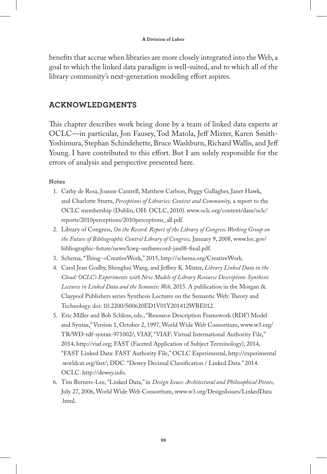benefits that accrue when libraries are more closely integrated into the Web, a goal to which the linked data paradigm is well-suited, and to which all of the library community's next-generation modeling effort aspires.

## **ACKNOWLEDGMENTS**

This chapter describes work being done by a team of linked data experts at OCLC—in particular, Jon Fausey, Tod Matola, Jeff Mixter, Karen Smith-Yoshimura, Stephan Schindehette, Bruce Washburn, Richard Wallis, and Jeff Young. I have contributed to this effort. But I am solely responsible for the errors of analysis and perspective presented here.

### **Notes**

- 1. Cathy de Rosa, Joanne Cantrell, Matthew Carlson, Peggy Gallagher, Janet Hawk, and Charlotte Sturtz, *Perceptions of Libraries: Context and Community,* a report to the OCLC membership (Dublin, OH: OCLC, 2010). www.oclc.org/content/dam/oclc/ reports/2010perceptions/2010perceptions\_all.pdf.
- 2. Library of Congress, *On the Record: Report of the Library of Congress Working Group on the Future of Bibliographic Control Library of Congress,* January 9, 2008, www.loc.gov/ bibliographic-future/news/lcwg-ontherecord-jan08-final.pdf.
- 3. Schema, "Thing–>CreativeWork," 2015, http://schema.org/CreativeWork.
- 4. Carol Jean Godby, Shenghui Wang, and Jeffrey K. Mixter, *Library Linked Data in the Cloud: OCLC's Experiments with New Models of Library Resource Description: Synthesis Lectures in Linked Data and the Semantic Web,* 2015. A publication in the Morgan & Claypool Publishers series Synthesis Lectures on the Semantic Web: Theory and Technology. doi: 10.2200/S00620ED1V01Y201412WBE012.
- 5. Eric Miller and Bob Schloss, eds., "Resource Description Framework (RDF) Model and Syntax," Version 1, October 2, 1997, World Wide Web Consortium, www.w3.org/ TR/WD-rdf-syntax-971002/; VIAF, "VIAF: Virtual International Authority File," 2014, http://viaf.org; FAST (Faceted Application of Subject Terminology), 2014, "FAST Linked Data: FAST Authority File," OCLC Experimental, http://experimental .worldcat.org/fast/; DDC. "Dewey Decimal Classification / Linked Data." 2014. OCLC. http://dewey.info.
- 6. Tim Berners-Lee, "Linked Data," in *Design Issues: Architectural and Philosophical Points,* July 27, 2006, World Wide Web Consortium, www.w3.org/DesignIssues/LinkedData .html.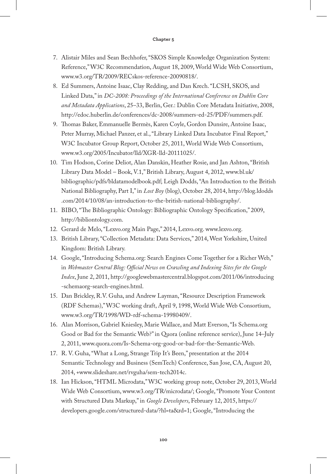- 7. Alistair Miles and Sean Bechhofer, "SKOS Simple Knowledge Organization System: Reference," W3C Recommendation, August 18, 2009, World Wide Web Consortium, www.w3.org/TR/2009/RECskos-reference-20090818/.
- 8. Ed Summers, Antoine Isaac, Clay Redding, and Dan Krech. "LCSH, SKOS, and Linked Data," in *DC-2008: Proceedings of the International Conference on Dublin Core and Metadata Applications*, 25–33, Berlin, Ger.: Dublin Core Metadata Initiative, 2008, http://edoc.huberlin.de/conferences/dc-2008/summers-ed-25/PDF/summers.pdf.
- 9. Thomas Baker, Emmanuelle Bermès, Karen Coyle, Gordon Dunsire, Antoine Isaac, Peter Murray, Michael Panzer, et al., "Library Linked Data Incubator Final Report," W3C Incubator Group Report, October 25, 2011, World Wide Web Consortium, www.w3.org/2005/Incubator/lld/XGR-lld-20111025/.
- 10. Tim Hodson, Corine Deliot, Alan Danskin, Heather Rosie, and Jan Ashton, "British Library Data Model – Book, V.1," British Library, August 4, 2012, www.bl.uk/ bibliographic/pdfs/bldatamodelbook.pdf; Leigh Dodds, "An Introduction to the British National Bibliography, Part I," in *Lost Boy* (blog), October 28, 2014, http://blog.ldodds .com/2014/10/08/an-introduction-to-the-british-national-bibliography/.
- 11. BIBO, "The Bibliographic Ontology: Bibliographic Ontology Specification," 2009, http://bibliontology.com.
- 12. Gerard de Melo, "Lexvo.org Main Page," 2014, Lexvo.org. www.lexvo.org.
- 13. British Library, "Collection Metadata: Data Services," 2014, West Yorkshire, United Kingdom: British Library.
- 14. Google, "Introducing Schema.org: Search Engines Come Together for a Richer Web," in *Webmaster Central Blog: Official News on Crawling and Indexing Sites for the Google Index*, June 2, 2011, http://googlewebmastercentral.blogspot.com/2011/06/introducing -schemaorg-search-engines.html.
- 15. Dan Brickley, R.V. Guha, and Andrew Layman, "Resource Description Framework (RDF Schemas)," W3C working draft, April 9, 1998, World Wide Web Consortium, www.w3.org/TR/1998/WD-rdf-schema-19980409/.
- 16. Alan Morrison, Gabriel Kniesley, Marie Wallace, and Matt Everson, "Is Schema.org Good or Bad for the Semantic Web?" in Quora (online reference service), June 14–July 2, 2011, www.quora.com/Is-Schema-org-good-or-bad-for-the-Semantic-Web.
- 17. R. V. Guha, "What a Long, Strange Trip It's Been," presentation at the 2014 Semantic Technology and Business (SemTech) Conference, San Jose, CA, August 20, 2014, +www.slideshare.net/rvguha/sem-tech2014c.
- 18. Ian Hickson, "HTML Microdata," W3C working group note, October 29, 2013, World Wide Web Consortium, www.w3.org/TR/microdata/; Google, "Promote Your Content with Structured Data Markup," in *Google Developers*, February 12, 2015, https:// developers.google.com/structured-data/?hl=ta&rd=1; Google, "Introducing the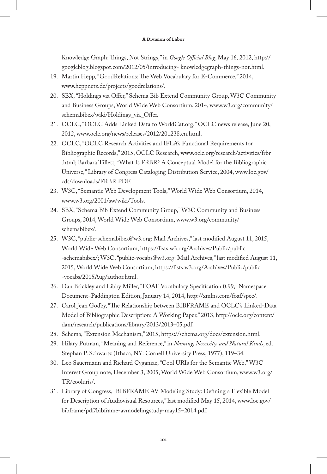Knowledge Graph: Things, Not Strings," in *Google Official Blog*, May 16, 2012, http:// googleblog.blogspot.com/2012/05/introducing- knowledgegraph-things-not.html.

- 19. Martin Hepp, "GoodRelations: The Web Vocabulary for E-Commerce," 2014, www.heppnetz.de/projects/goodrelations/.
- 20. SBX, "Holdings via Offer," Schema Bib Extend Community Group, W3C Community and Business Groups, World Wide Web Consortium, 2014, www.w3.org/community/ schemabibex/wiki/Holdings\_via\_Offer.
- 21. OCLC, "OCLC Adds Linked Data to WorldCat.org," OCLC news release, June 20, 2012, www.oclc.org/news/releases/2012/201238.en.html.
- 22. OCLC, "OCLC Research Activities and IFLA's Functional Requirements for Bibliographic Records," 2015, OCLC Research, www.oclc.org/research/activities/frbr .html; Barbara Tillett, "What Is FRBR? A Conceptual Model for the Bibliographic Universe," Library of Congress Cataloging Distribution Service, 2004, www.loc.gov/ cds/downloads/FRBR.PDF.
- 23. W3C, "Semantic Web Development Tools," World Wide Web Consortium, 2014, www.w3.org/2001/sw/wiki/Tools.
- 24. SBX, "Schema Bib Extend Community Group," W3C Community and Business Groups, 2014, World Wide Web Consortium, www.w3.org/community/ schemabibex/.
- 25. W3C, "public-schemabibex@w3.org: Mail Archives," last modified August 11, 2015, World Wide Web Consortium, https://lists.w3.org/Archives/Public/public -schemabibex/; W3C, "public-vocabs@w3.org: Mail Archives," last modified August 11, 2015, World Wide Web Consortium, https://lists.w3.org/Archives/Public/public -vocabs/2015Aug/author.html.
- 26. Dan Brickley and Libby Miller, "FOAF Vocabulary Specification 0.99," Namespace Document–Paddington Edition, January 14, 2014, http://xmlns.com/foaf/spec/.
- 27. Carol Jean Godby, "The Relationship between BIBFRAME and OCLC's Linked-Data Model of Bibliographic Description: A Working Paper," 2013, http://oclc.org/content/ dam/research/publications/library/2013/2013–05.pdf.
- 28. Schema, "Extension Mechanism," 2015, https://schema.org/docs/extension.html.
- 29. Hilary Putnam, "Meaning and Reference," in *Naming, Necessity, and Natural Kinds*, ed. Stephan P. Schwartz (Ithaca, NY: Cornell University Press, 1977), 119–34.
- 30. Leo Sauermann and Richard Cyganiac, "Cool URIs for the Semantic Web," W3C Interest Group note, December 3, 2005, World Wide Web Consortium, www.w3.org/ TR/cooluris/.
- 31. Library of Congress, "BIBFRAME AV Modeling Study: Defining a Flexible Model for Description of Audiovisual Resources," last modified May 15, 2014, www.loc.gov/ bibframe/pdf/bibframe-avmodelingstudy-may15–2014.pdf.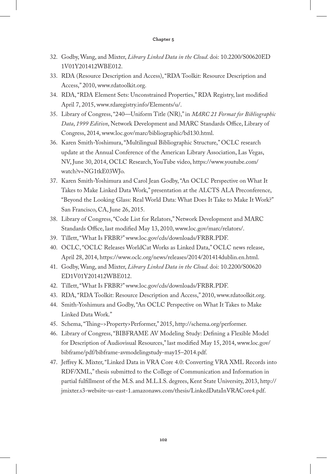- 32. Godby, Wang, and Mixter, *Library Linked Data in the Cloud*. doi: 10.2200/S00620ED 1V01Y201412WBE012.
- 33. RDA (Resource Description and Access), "RDA Toolkit: Resource Description and Access," 2010, www.rdatoolkit.org.
- 34. RDA, "RDA Element Sets: Unconstrained Properties," RDA Registry, last modified April 7, 2015, www.rdaregistry.info/Elements/u/.
- 35. Library of Congress, "240—Uniform Title (NR)," in *MARC 21 Format for Bibliographic Data*, *1999 Edition*, Network Development and MARC Standards Office, Library of Congress, 2014, www.loc.gov/marc/bibliographic/bd130.html.
- 36. Karen Smith-Yoshimura, "Multilingual Bibliographic Structure," OCLC research update at the Annual Conference of the American Library Association, Las Vegas, NV, June 30, 2014, OCLC Research, YouTube video, https://www.youtube.com/ watch?v=NG1tkE03WJo.
- 37. Karen Smith-Yoshimura and Carol Jean Godby, "An OCLC Perspective on What It Takes to Make Linked Data Work," presentation at the ALCTS ALA Preconference, "Beyond the Looking Glass: Real World Data: What Does It Take to Make It Work?" San Francisco, CA, June 26, 2015.
- 38. Library of Congress, "Code List for Relators," Network Development and MARC Standards Office, last modified May 13, 2010, www.loc.gov/marc/relators/.
- 39. Tillett, "What Is FRBR?" www.loc.gov/cds/downloads/FRBR.PDF.
- 40. OCLC, "OCLC Releases WorldCat Works as Linked Data," OCLC news release, April 28, 2014, https://www.oclc.org/news/releases/2014/201414dublin.en.html.
- 41. Godby, Wang, and Mixter, *Library Linked Data in the Cloud*. doi: 10.2200/S00620 ED1V01Y201412WBE012.
- 42. Tillett, "What Is FRBR?" www.loc.gov/cds/downloads/FRBR.PDF.
- 43. RDA, "RDA Toolkit: Resource Description and Access," 2010, www.rdatoolkit.org.
- 44. Smith-Yoshimura and Godby, "An OCLC Perspective on What It Takes to Make Linked Data Work."
- 45. Schema, "Thing–>Property>Performer," 2015, http://schema.org/performer.
- 46. Library of Congress, "BIBFRAME AV Modeling Study: Defining a Flexible Model for Description of Audiovisual Resources," last modified May 15, 2014, www.loc.gov/ bibframe/pdf/bibframe-avmodelingstudy-may15–2014.pdf.
- 47. Jeffrey K. Mixter, "Linked Data in VRA Core 4.0: Converting VRA XML Records into RDF/XML," thesis submitted to the College of Communication and Information in partial fulfillment of the M.S. and M.L.I.S. degrees, Kent State University, 2013, http:// jmixter.s3-website-us-east-1.amazonaws.com/thesis/LinkedDataInVRACore4.pdf.